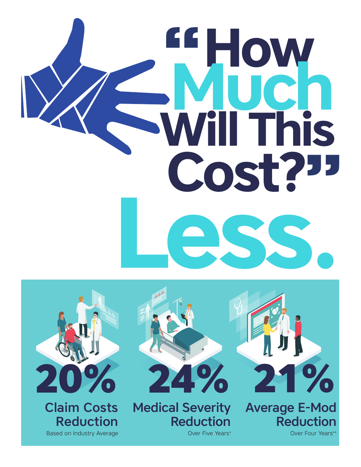# **Will This How Less. Cost? Much**



Claim Costs Reduction Based on Industry Average



Medical Severity **Reduction** 

Over Five Years\*



Average E-Mod Reduction

Over Four Years\*\*